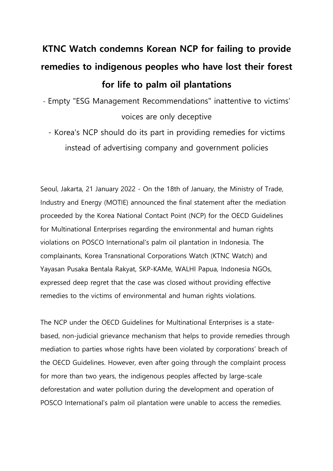## **KTNC Watch condemns Korean NCP for failing to provide remedies to indigenous peoples who have lost their forest for life to palm oil plantations**

- Empty "ESG Management Recommendations" inattentive to victims' voices are only deceptive
	- Korea's NCP should do its part in providing remedies for victims instead of advertising company and government policies

Seoul, Jakarta, 21 January 2022 - On the 18th of January, the Ministry of Trade, Industry and Energy (MOTIE) announced the final statement after the mediation proceeded by the Korea National Contact Point (NCP) for the OECD Guidelines for Multinational Enterprises regarding the environmental and human rights violations on POSCO International's palm oil plantation in Indonesia. The complainants, Korea Transnational Corporations Watch (KTNC Watch) and Yayasan Pusaka Bentala Rakyat, SKP-KAMe, WALHI Papua, Indonesia NGOs, expressed deep regret that the case was closed without providing effective remedies to the victims of environmental and human rights violations.

The NCP under the OECD Guidelines for Multinational Enterprises is a statebased, non-judicial grievance mechanism that helps to provide remedies through mediation to parties whose rights have been violated by corporations' breach of the OECD Guidelines. However, even after going through the complaint process for more than two years, the indigenous peoples affected by large-scale deforestation and water pollution during the development and operation of POSCO International's palm oil plantation were unable to access the remedies.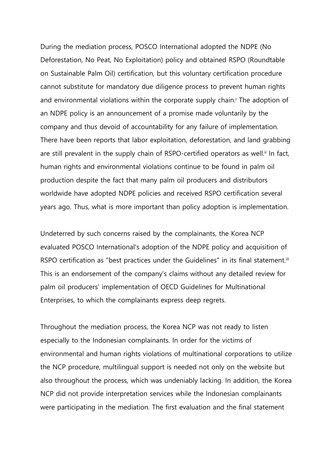During the mediation process, POSCO International adopted the NDPE (No Deforestation, No Peat, No Exploitation) policy and obtained RSPO (Roundtable on Sustainable Palm Oil) certification, but this voluntary certification procedure cannot substitute for mandatory due diligence process to prevent human rights and environmental violations within the corporate supply chain. <sup>i</sup> The adoption of an NDPE policy is an announcement of a promise made voluntarily by the company and thus devoid of accountability for any failure of implementation. There have been reports that labor exploitation, deforestation, and land grabbing are still prevalent in the supply chain of RSPO-certified operators as well.<sup>ii</sup> In fact, human rights and environmental violations continue to be found in palm oil production despite the fact that many palm oil producers and distributors worldwide have adopted NDPE policies and received RSPO certification several years ago. Thus, what is more important than policy adoption is implementation.

Undeterred by such concerns raised by the complainants, the Korea NCP evaluated POSCO International's adoption of the NDPE policy and acquisition of RSPO certification as "best practices under the Guidelines" in its final statement.<sup>iii</sup> This is an endorsement of the company's claims without any detailed review for palm oil producers' implementation of OECD Guidelines for Multinational Enterprises, to which the complainants express deep regrets.

Throughout the mediation process, the Korea NCP was not ready to listen especially to the Indonesian complainants. In order for the victims of environmental and human rights violations of multinational corporations to utilize the NCP procedure, multilingual support is needed not only on the website but also throughout the process, which was undeniably lacking. In addition, the Korea NCP did not provide interpretation services while the Indonesian complainants were participating in the mediation. The first evaluation and the final statement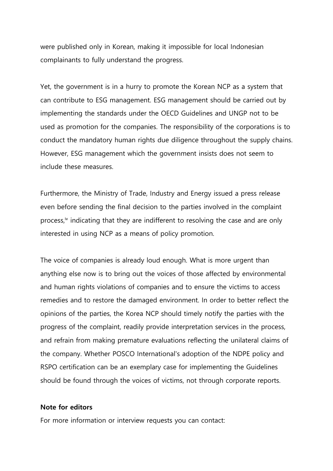were published only in Korean, making it impossible for local Indonesian complainants to fully understand the progress.

Yet, the government is in a hurry to promote the Korean NCP as a system that can contribute to ESG management. ESG management should be carried out by implementing the standards under the OECD Guidelines and UNGP not to be used as promotion for the companies. The responsibility of the corporations is to conduct the mandatory human rights due diligence throughout the supply chains. However, ESG management which the government insists does not seem to include these measures.

Furthermore, the Ministry of Trade, Industry and Energy issued a press release even before sending the final decision to the parties involved in the complaint process,<sup>iv</sup> indicating that they are indifferent to resolving the case and are only interested in using NCP as a means of policy promotion.

The voice of companies is already loud enough. What is more urgent than anything else now is to bring out the voices of those affected by environmental and human rights violations of companies and to ensure the victims to access remedies and to restore the damaged environment. In order to better reflect the opinions of the parties, the Korea NCP should timely notify the parties with the progress of the complaint, readily provide interpretation services in the process, and refrain from making premature evaluations reflecting the unilateral claims of the company. Whether POSCO International's adoption of the NDPE policy and RSPO certification can be an exemplary case for implementing the Guidelines should be found through the voices of victims, not through corporate reports.

## **Note for editors**

For more information or interview requests you can contact: